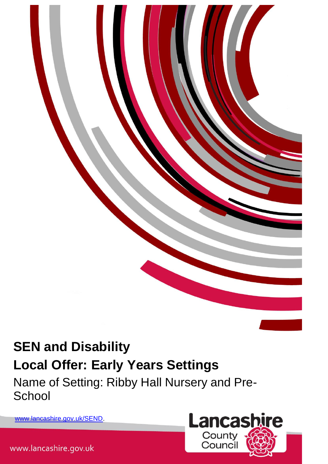

Name of Setting: Ribby Hall Nursery and Pre-**School** 

[www.lancashire.gov.uk/SEND.](http://www.lancashire.gov.uk/SEND)



www.lancashire.gov.uk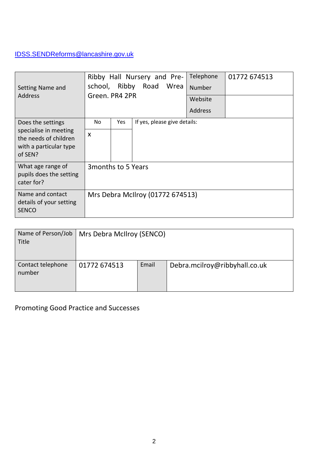# [IDSS.SENDReforms@lancashire.gov.uk](mailto:IDSS.SENDReforms@lancashire.gov.uk)

| Setting Name and<br>Address                                                                              | Ribby Hall Nursery and Pre-<br>Ribby Road Wrea<br>school,<br>Green. PR4 2PR |            |                                  | Telephone<br>Number<br>Website<br><b>Address</b> | 01772 674513 |
|----------------------------------------------------------------------------------------------------------|-----------------------------------------------------------------------------|------------|----------------------------------|--------------------------------------------------|--------------|
| Does the settings<br>specialise in meeting<br>the needs of children<br>with a particular type<br>of SEN? | No.<br>$\boldsymbol{\mathsf{x}}$                                            | <b>Yes</b> | If yes, please give details:     |                                                  |              |
| What age range of<br>pupils does the setting<br>cater for?                                               | 3 months to 5 Years                                                         |            |                                  |                                                  |              |
| Name and contact<br>details of your setting<br><b>SENCO</b>                                              |                                                                             |            | Mrs Debra McIlroy (01772 674513) |                                                  |              |

| Name of Person/Job<br>Title | Mrs Debra McIlroy (SENCO) |       |                               |  |  |
|-----------------------------|---------------------------|-------|-------------------------------|--|--|
| Contact telephone<br>number | 01772 674513              | Email | Debra.mcilroy@ribbyhall.co.uk |  |  |

Promoting Good Practice and Successes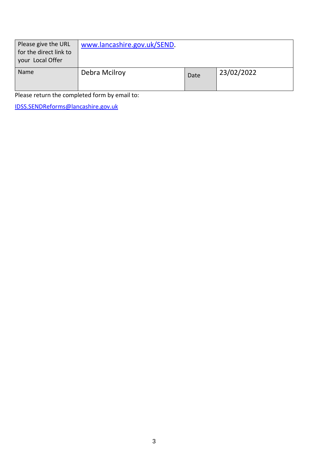| Please give the URL<br>for the direct link to<br>your Local Offer | www.lancashire.gov.uk/SEND. |      |            |
|-------------------------------------------------------------------|-----------------------------|------|------------|
| Name                                                              | Debra Mcilroy               | Date | 23/02/2022 |

Please return the completed form by email to:

[IDSS.SENDReforms@lancashire.gov.uk](mailto:IDSS.SENDReforms@lancashire.gov.uk)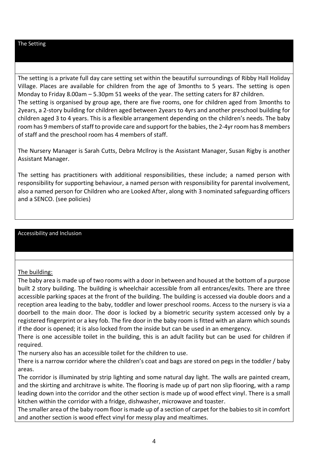#### The Setting

The setting is a private full day care setting set within the beautiful surroundings of Ribby Hall Holiday Village. Places are available for children from the age of 3months to 5 years. The setting is open Monday to Friday 8.00am – 5.30pm 51 weeks of the year. The setting caters for 87 children. The setting is organised by group age, there are five rooms, one for children aged from 3months to 2years, a 2-story building for children aged between 2years to 4yrs and another preschool building for children aged 3 to 4 years. This is a flexible arrangement depending on the children's needs. The baby room has 9 members of staff to provide care and support for the babies, the 2-4yr room has 8 members of staff and the preschool room has 4 members of staff.

The Nursery Manager is Sarah Cutts, Debra McIlroy is the Assistant Manager, Susan Rigby is another Assistant Manager.

The setting has practitioners with additional responsibilities, these include; a named person with responsibility for supporting behaviour, a named person with responsibility for parental involvement, also a named person for Children who are Looked After, along with 3 nominated safeguarding officers and a SENCO. (see policies)

#### Accessibility and Inclusion

#### The building:

The baby area is made up of two rooms with a door in between and housed at the bottom of a purpose built 2 story building. The building is wheelchair accessible from all entrances/exits. There are three accessible parking spaces at the front of the building. The building is accessed via double doors and a reception area leading to the baby, toddler and lower preschool rooms. Access to the nursery is via a doorbell to the main door. The door is locked by a biometric security system accessed only by a registered fingerprint or a key fob. The fire door in the baby room is fitted with an alarm which sounds if the door is opened; it is also locked from the inside but can be used in an emergency.

There is one accessible toilet in the building, this is an adult facility but can be used for children if required.

The nursery also has an accessible toilet for the children to use.

There is a narrow corridor where the children's coat and bags are stored on pegs in the toddler / baby areas.

The corridor is illuminated by strip lighting and some natural day light. The walls are painted cream, and the skirting and architrave is white. The flooring is made up of part non slip flooring, with a ramp leading down into the corridor and the other section is made up of wood effect vinyl. There is a small kitchen within the corridor with a fridge, dishwasher, microwave and toaster.

The smaller area of the baby room floor is made up of a section of carpet for the babies to sit in comfort and another section is wood effect vinyl for messy play and mealtimes.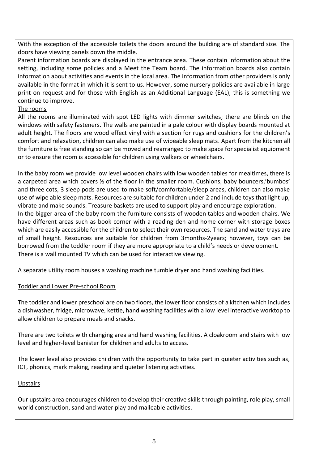With the exception of the accessible toilets the doors around the building are of standard size. The doors have viewing panels down the middle.

Parent information boards are displayed in the entrance area. These contain information about the setting, including some policies and a Meet the Team board. The information boards also contain information about activities and events in the local area. The information from other providers is only available in the format in which it is sent to us. However, some nursery policies are available in large print on request and for those with English as an Additional Language (EAL), this is something we continue to improve.

### The rooms

All the rooms are illuminated with spot LED lights with dimmer switches; there are blinds on the windows with safety fasteners. The walls are painted in a pale colour with display boards mounted at adult height. The floors are wood effect vinyl with a section for rugs and cushions for the children's comfort and relaxation, children can also make use of wipeable sleep mats. Apart from the kitchen all the furniture is free standing so can be moved and rearranged to make space for specialist equipment or to ensure the room is accessible for children using walkers or wheelchairs.

In the baby room we provide low level wooden chairs with low wooden tables for mealtimes, there is a carpeted area which covers ½ of the floor in the smaller room. Cushions, baby bouncers,'bumbos' and three cots, 3 sleep pods are used to make soft/comfortable/sleep areas, children can also make use of wipe able sleep mats. Resources are suitable for children under 2 and include toys that light up, vibrate and make sounds. Treasure baskets are used to support play and encourage exploration. In the bigger area of the baby room the furniture consists of wooden tables and wooden chairs. We have different areas such as book corner with a reading den and home corner with storage boxes which are easily accessible for the children to select their own resources. The sand and water trays are of small height. Resources are suitable for children from 3months-2years; however, toys can be borrowed from the toddler room if they are more appropriate to a child's needs or development. There is a wall mounted TV which can be used for interactive viewing.

A separate utility room houses a washing machine tumble dryer and hand washing facilities.

# Toddler and Lower Pre-school Room

The toddler and lower preschool are on two floors, the lower floor consists of a kitchen which includes a dishwasher, fridge, microwave, kettle, hand washing facilities with a low level interactive worktop to allow children to prepare meals and snacks.

There are two toilets with changing area and hand washing facilities. A cloakroom and stairs with low level and higher-level banister for children and adults to access.

The lower level also provides children with the opportunity to take part in quieter activities such as, ICT, phonics, mark making, reading and quieter listening activities.

# **Upstairs**

Our upstairs area encourages children to develop their creative skills through painting, role play, small world construction, sand and water play and malleable activities.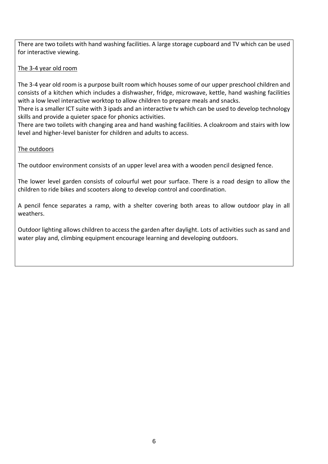There are two toilets with hand washing facilities. A large storage cupboard and TV which can be used for interactive viewing.

#### The 3-4 year old room

The 3-4 year old room is a purpose built room which houses some of our upper preschool children and consists of a kitchen which includes a dishwasher, fridge, microwave, kettle, hand washing facilities with a low level interactive worktop to allow children to prepare meals and snacks.

There is a smaller ICT suite with 3 ipads and an interactive tv which can be used to develop technology skills and provide a quieter space for phonics activities.

There are two toilets with changing area and hand washing facilities. A cloakroom and stairs with low level and higher-level banister for children and adults to access.

### The outdoors

The outdoor environment consists of an upper level area with a wooden pencil designed fence.

The lower level garden consists of colourful wet pour surface. There is a road design to allow the children to ride bikes and scooters along to develop control and coordination.

A pencil fence separates a ramp, with a shelter covering both areas to allow outdoor play in all weathers.

Outdoor lighting allows children to access the garden after daylight. Lots of activities such as sand and water play and, climbing equipment encourage learning and developing outdoors.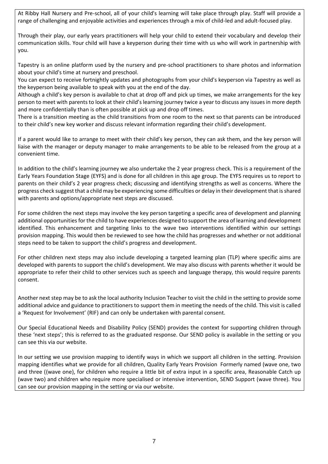At Ribby Hall Nursery and Pre-school, all of your child's learning will take place through play. Staff will provide a range of challenging and enjoyable activities and experiences through a mix of child-led and adult-focused play.

Through their play, our early years practitioners will help your child to extend their vocabulary and develop their communication skills. Your child will have a keyperson during their time with us who will work in partnership with you.

Tapestry is an online platform used by the nursery and pre-school practitioners to share photos and information about your child's time at nursery and preschool.

You can expect to receive fortnightly updates and photographs from your child's keyperson via Tapestry as well as the keyperson being available to speak with you at the end of the day.

Although a child's key person is available to chat at drop off and pick up times, we make arrangements for the key person to meet with parents to look at their child's learning journey twice a year to discuss any issues in more depth and more confidentially than is often possible at pick up and drop off times.

There is a transition meeting as the child transitions from one room to the next so that parents can be introduced to their child's new key worker and discuss relevant information regarding their child's development.

If a parent would like to arrange to meet with their child's key person, they can ask them, and the key person will liaise with the manager or deputy manager to make arrangements to be able to be released from the group at a convenient time.

In addition to the child's learning journey we also undertake the 2 year progress check. This is a requirement of the Early Years Foundation Stage (EYFS) and is done for all children in this age group. The EYFS requires us to report to parents on their child's 2 year progress check; discussing and identifying strengths as well as concerns. Where the progress check suggest that a child may be experiencing some difficulties or delay in their development that is shared with parents and options/appropriate next steps are discussed.

For some children the next steps may involve the key person targeting a specific area of development and planning additional opportunities for the child to have experiences designed to support the area of learning and development identified. This enhancement and targeting links to the wave two interventions identified within our settings provision mapping. This would then be reviewed to see how the child has progresses and whether or not additional steps need to be taken to support the child's progress and development.

For other children next steps may also include developing a targeted learning plan (TLP) where specific aims are developed with parents to support the child's development. We may also discuss with parents whether it would be appropriate to refer their child to other services such as speech and language therapy, this would require parents consent.

Another next step may be to ask the local authority Inclusion Teacher to visit the child in the setting to provide some additional advice and guidance to practitioners to support them in meeting the needs of the child. This visit is called a 'Request for Involvement' (RIF) and can only be undertaken with parental consent.

Our Special Educational Needs and Disability Policy (SEND) provides the context for supporting children through these 'next steps'; this is referred to as the graduated response. Our SEND policy is available in the setting or you can see this via our website.

In our setting we use provision mapping to identify ways in which we support all children in the setting. Provision mapping identifies what we provide for all children, Quality Early Years Provision Formerly named (wave one, two and three ((wave one), for children who require a little bit of extra input in a specific area, Reasonable Catch up (wave two) and children who require more specialised or intensive intervention, SEND Support (wave three). You can see our provision mapping in the setting or via our website.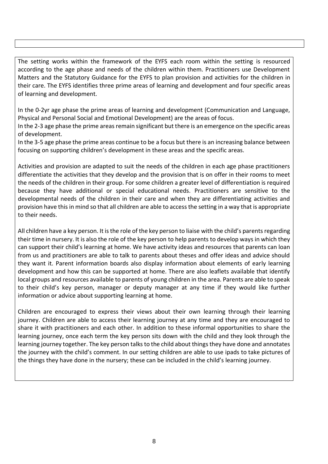The setting works within the framework of the EYFS each room within the setting is resourced according to the age phase and needs of the children within them. Practitioners use Development Matters and the Statutory Guidance for the EYFS to plan provision and activities for the children in their care. The EYFS identifies three prime areas of learning and development and four specific areas of learning and development.

In the 0-2yr age phase the prime areas of learning and development (Communication and Language, Physical and Personal Social and Emotional Development) are the areas of focus.

In the 2-3 age phase the prime areas remain significant but there is an emergence on the specific areas of development.

In the 3-5 age phase the prime areas continue to be a focus but there is an increasing balance between focusing on supporting children's development in these areas and the specific areas.

Activities and provision are adapted to suit the needs of the children in each age phase practitioners differentiate the activities that they develop and the provision that is on offer in their rooms to meet the needs of the children in their group. For some children a greater level of differentiation is required because they have additional or special educational needs. Practitioners are sensitive to the developmental needs of the children in their care and when they are differentiating activities and provision have this in mind so that all children are able to access the setting in a way that is appropriate to their needs.

All children have a key person. It is the role of the key person to liaise with the child's parents regarding their time in nursery. It is also the role of the key person to help parents to develop ways in which they can support their child's learning at home. We have activity ideas and resources that parents can loan from us and practitioners are able to talk to parents about theses and offer ideas and advice should they want it. Parent information boards also display information about elements of early learning development and how this can be supported at home. There are also leaflets available that identify local groups and resources available to parents of young children in the area. Parents are able to speak to their child's key person, manager or deputy manager at any time if they would like further information or advice about supporting learning at home.

Children are encouraged to express their views about their own learning through their learning journey. Children are able to access their learning journey at any time and they are encouraged to share it with practitioners and each other. In addition to these informal opportunities to share the learning journey, once each term the key person sits down with the child and they look through the learning journey together. The key person talks to the child about things they have done and annotates the journey with the child's comment. In our setting children are able to use ipads to take pictures of the things they have done in the nursery; these can be included in the child's learning journey.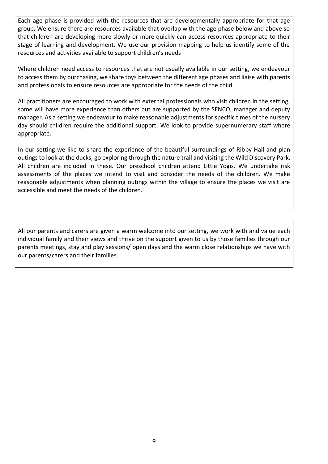Each age phase is provided with the resources that are developmentally appropriate for that age group. We ensure there are resources available that overlap with the age phase below and above so that children are developing more slowly or more quickly can access resources appropriate to their stage of learning and development. We use our provision mapping to help us identify some of the resources and activities available to support children's needs

Where children need access to resources that are not usually available in our setting, we endeavour to access them by purchasing, we share toys between the different age phases and liaise with parents and professionals to ensure resources are appropriate for the needs of the child.

All practitioners are encouraged to work with external professionals who visit children in the setting, some will have more experience than others but are supported by the SENCO, manager and deputy manager. As a setting we endeavour to make reasonable adjustments for specific times of the nursery day should children require the additional support. We look to provide supernumerary staff where appropriate.

In our setting we like to share the experience of the beautiful surroundings of Ribby Hall and plan outings to look at the ducks, go exploring through the nature trail and visiting the Wild Discovery Park. All children are included in these. Our preschool children attend Little Yogis. We undertake risk assessments of the places we intend to visit and consider the needs of the children. We make reasonable adjustments when planning outings within the village to ensure the places we visit are accessible and meet the needs of the children.

All our parents and carers are given a warm welcome into our setting, we work with and value each individual family and their views and thrive on the support given to us by those families through our parents meetings, stay and play sessions/ open days and the warm close relationships we have with our parents/carers and their families.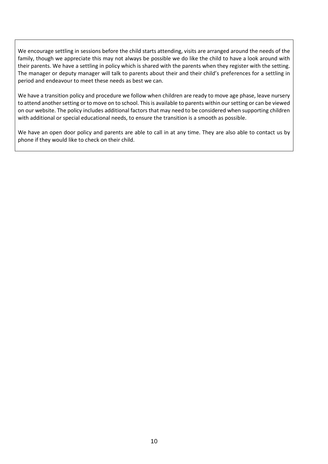We encourage settling in sessions before the child starts attending, visits are arranged around the needs of the family, though we appreciate this may not always be possible we do like the child to have a look around with their parents. We have a settling in policy which is shared with the parents when they register with the setting. The manager or deputy manager will talk to parents about their and their child's preferences for a settling in period and endeavour to meet these needs as best we can.

We have a transition policy and procedure we follow when children are ready to move age phase, leave nursery to attend another setting or to move on to school. This is available to parents within our setting or can be viewed on our website. The policy includes additional factors that may need to be considered when supporting children with additional or special educational needs, to ensure the transition is a smooth as possible.

We have an open door policy and parents are able to call in at any time. They are also able to contact us by phone if they would like to check on their child.